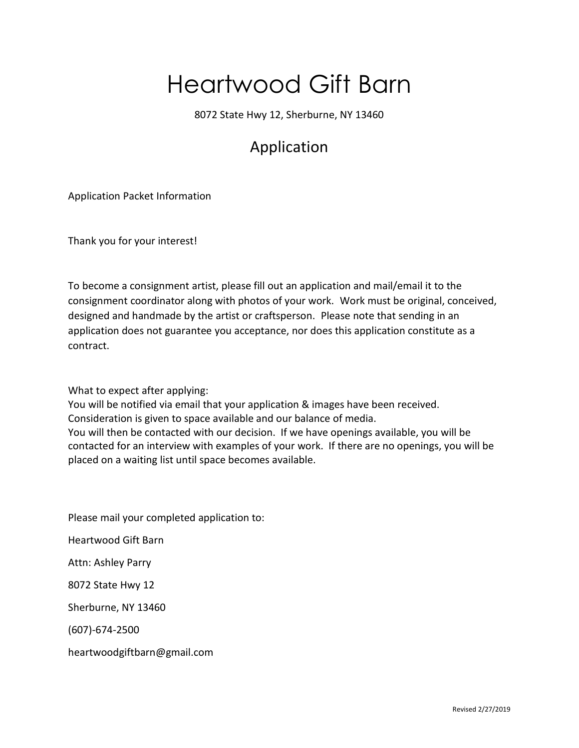### Heartwood Gift Barn

8072 State Hwy 12, Sherburne, NY 13460

#### Application

Application Packet Information

Thank you for your interest!

To become a consignment artist, please fill out an application and mail/email it to the consignment coordinator along with photos of your work. Work must be original, conceived, designed and handmade by the artist or craftsperson. Please note that sending in an application does not guarantee you acceptance, nor does this application constitute as a contract.

What to expect after applying:

You will be notified via email that your application & images have been received. Consideration is given to space available and our balance of media. You will then be contacted with our decision. If we have openings available, you will be contacted for an interview with examples of your work. If there are no openings, you will be placed on a waiting list until space becomes available.

Please mail your completed application to:

Heartwood Gift Barn

Attn: Ashley Parry

8072 State Hwy 12

Sherburne, NY 13460

(607)-674-2500

heartwoodgiftbarn@gmail.com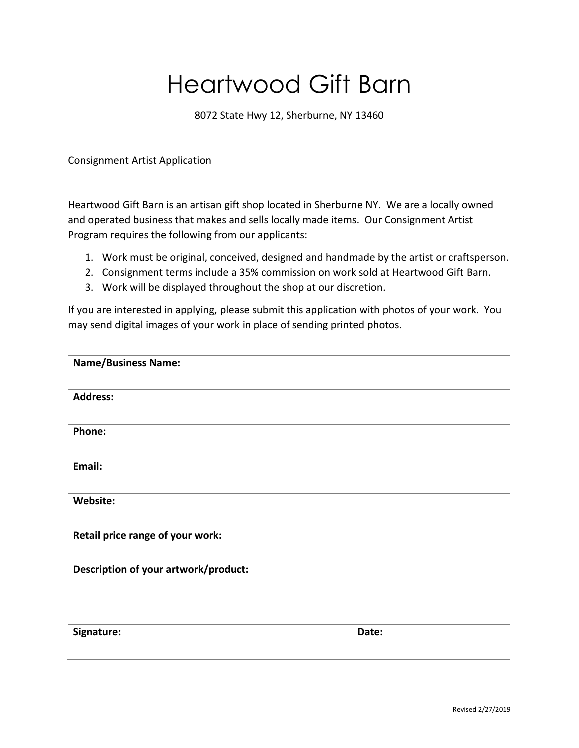# Heartwood Gift Barn

8072 State Hwy 12, Sherburne, NY 13460

Consignment Artist Application

Heartwood Gift Barn is an artisan gift shop located in Sherburne NY. We are a locally owned and operated business that makes and sells locally made items. Our Consignment Artist Program requires the following from our applicants:

- 1. Work must be original, conceived, designed and handmade by the artist or craftsperson.
- 2. Consignment terms include a 35% commission on work sold at Heartwood Gift Barn.
- 3. Work will be displayed throughout the shop at our discretion.

If you are interested in applying, please submit this application with photos of your work. You may send digital images of your work in place of sending printed photos.

| <b>Name/Business Name:</b>           |       |
|--------------------------------------|-------|
| <b>Address:</b>                      |       |
| Phone:                               |       |
| Email:                               |       |
| Website:                             |       |
| Retail price range of your work:     |       |
| Description of your artwork/product: |       |
| Signature:                           | Date: |